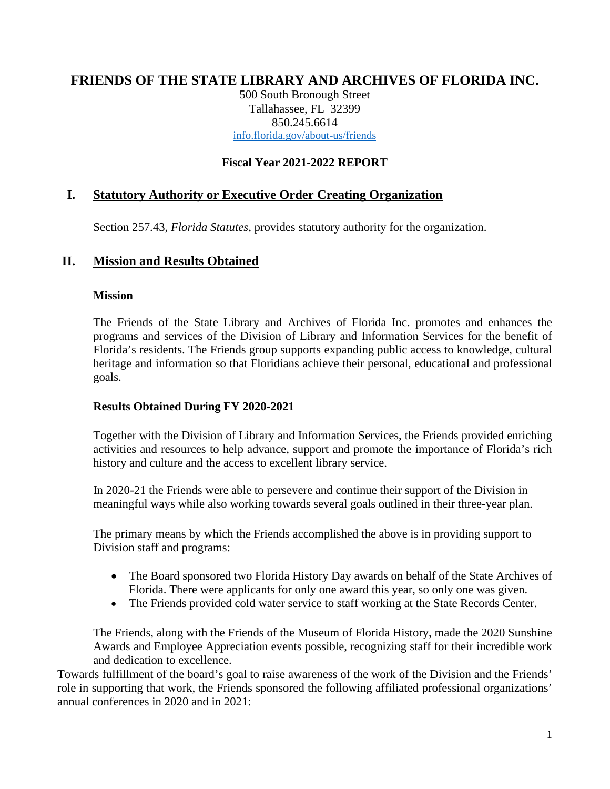# **FRIENDS OF THE STATE LIBRARY AND ARCHIVES OF FLORIDA INC.**

500 South Bronough Street Tallahassee, FL 32399 850.245.6614 [info.florida.gov/about-us/friends](http://dos.myflorida.com/library-archives/about-us/friends)

### **Fiscal Year 2021-2022 REPORT**

## **I. Statutory Authority or Executive Order Creating Organization**

Section 257.43, *Florida Statutes,* provides statutory authority for the organization.

#### **II. Mission and Results Obtained**

#### **Mission**

The Friends of the State Library and Archives of Florida Inc. promotes and enhances the programs and services of the Division of Library and Information Services for the benefit of Florida's residents. The Friends group supports expanding public access to knowledge, cultural heritage and information so that Floridians achieve their personal, educational and professional goals.

#### **Results Obtained During FY 2020-2021**

Together with the Division of Library and Information Services, the Friends provided enriching activities and resources to help advance, support and promote the importance of Florida's rich history and culture and the access to excellent library service.

In 2020-21 the Friends were able to persevere and continue their support of the Division in meaningful ways while also working towards several goals outlined in their three-year plan.

The primary means by which the Friends accomplished the above is in providing support to Division staff and programs:

- The Board sponsored two Florida History Day awards on behalf of the State Archives of Florida. There were applicants for only one award this year, so only one was given.
- The Friends provided cold water service to staff working at the State Records Center.

The Friends, along with the Friends of the Museum of Florida History, made the 2020 Sunshine Awards and Employee Appreciation events possible, recognizing staff for their incredible work and dedication to excellence.

Towards fulfillment of the board's goal to raise awareness of the work of the Division and the Friends' role in supporting that work, the Friends sponsored the following affiliated professional organizations' annual conferences in 2020 and in 2021: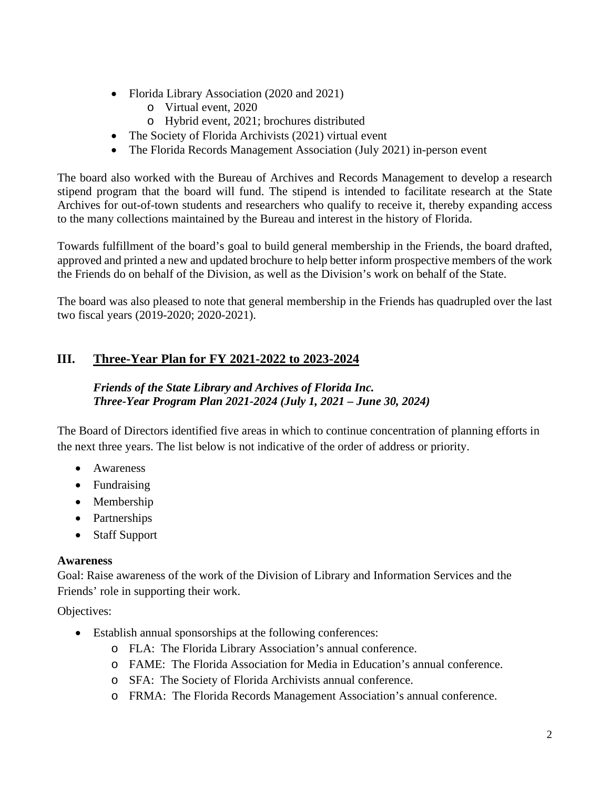- Florida Library Association (2020 and 2021)
	- o Virtual event, 2020
	- o Hybrid event, 2021; brochures distributed
- The Society of Florida Archivists (2021) virtual event
- The Florida Records Management Association (July 2021) in-person event

The board also worked with the Bureau of Archives and Records Management to develop a research stipend program that the board will fund. The stipend is intended to facilitate research at the State Archives for out-of-town students and researchers who qualify to receive it, thereby expanding access to the many collections maintained by the Bureau and interest in the history of Florida.

Towards fulfillment of the board's goal to build general membership in the Friends, the board drafted, approved and printed a new and updated brochure to help better inform prospective members of the work the Friends do on behalf of the Division, as well as the Division's work on behalf of the State.

The board was also pleased to note that general membership in the Friends has quadrupled over the last two fiscal years (2019-2020; 2020-2021).

# **III. Three-Year Plan for FY 2021-2022 to 2023-2024**

### *Friends of the State Library and Archives of Florida Inc. Three-Year Program Plan 2021-2024 (July 1, 2021 – June 30, 2024)*

The Board of Directors identified five areas in which to continue concentration of planning efforts in the next three years. The list below is not indicative of the order of address or priority.

- Awareness
- Fundraising
- Membership
- Partnerships
- Staff Support

#### **Awareness**

Goal: Raise awareness of the work of the Division of Library and Information Services and the Friends' role in supporting their work.

Objectives:

- Establish annual sponsorships at the following conferences:
	- o FLA: The Florida Library Association's annual conference.
	- o FAME: The Florida Association for Media in Education's annual conference.
	- o SFA: The Society of Florida Archivists annual conference.
	- o FRMA: The Florida Records Management Association's annual conference.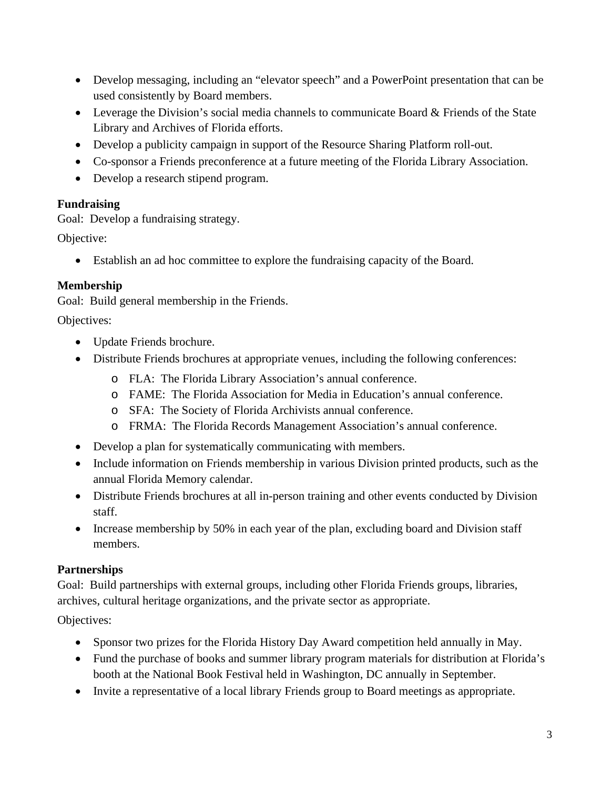- Develop messaging, including an "elevator speech" and a PowerPoint presentation that can be used consistently by Board members.
- Leverage the Division's social media channels to communicate Board & Friends of the State Library and Archives of Florida efforts.
- Develop a publicity campaign in support of the Resource Sharing Platform roll-out.
- Co-sponsor a Friends preconference at a future meeting of the Florida Library Association.
- Develop a research stipend program.

## **Fundraising**

Goal: Develop a fundraising strategy.

Objective:

• Establish an ad hoc committee to explore the fundraising capacity of the Board.

# **Membership**

Goal: Build general membership in the Friends.

# Objectives:

- Update Friends brochure.
- Distribute Friends brochures at appropriate venues, including the following conferences:
	- o FLA: The Florida Library Association's annual conference.
	- o FAME: The Florida Association for Media in Education's annual conference.
	- o SFA: The Society of Florida Archivists annual conference.
	- o FRMA: The Florida Records Management Association's annual conference.
- Develop a plan for systematically communicating with members.
- Include information on Friends membership in various Division printed products, such as the annual Florida Memory calendar.
- Distribute Friends brochures at all in-person training and other events conducted by Division staff.
- Increase membership by 50% in each year of the plan, excluding board and Division staff members.

# **Partnerships**

Goal: Build partnerships with external groups, including other Florida Friends groups, libraries, archives, cultural heritage organizations, and the private sector as appropriate.

# Objectives:

- Sponsor two prizes for the Florida History Day Award competition held annually in May.
- Fund the purchase of books and summer library program materials for distribution at Florida's booth at the National Book Festival held in Washington, DC annually in September.
- Invite a representative of a local library Friends group to Board meetings as appropriate.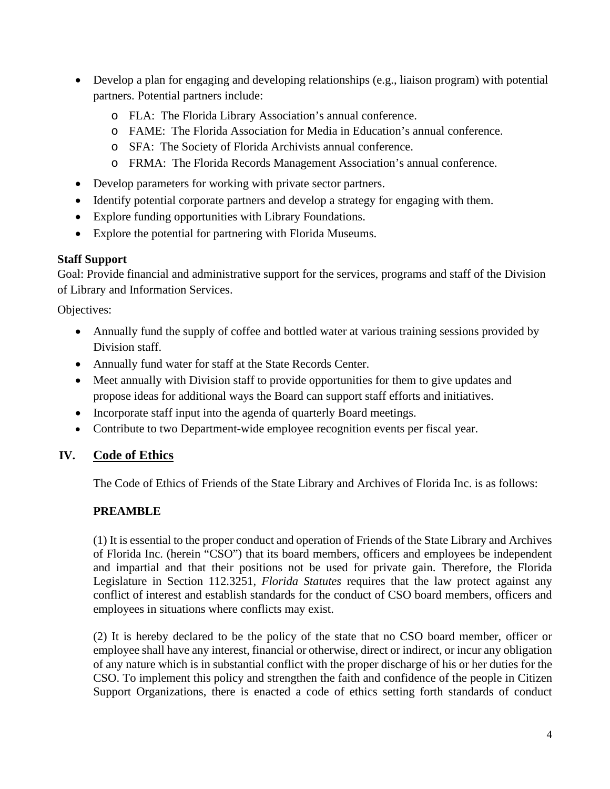- Develop a plan for engaging and developing relationships (e.g., liaison program) with potential partners. Potential partners include:
	- o FLA: The Florida Library Association's annual conference.
	- o FAME: The Florida Association for Media in Education's annual conference.
	- o SFA: The Society of Florida Archivists annual conference.
	- o FRMA: The Florida Records Management Association's annual conference.
- Develop parameters for working with private sector partners.
- Identify potential corporate partners and develop a strategy for engaging with them.
- Explore funding opportunities with Library Foundations.
- Explore the potential for partnering with Florida Museums.

## **Staff Support**

Goal: Provide financial and administrative support for the services, programs and staff of the Division of Library and Information Services.

Objectives:

- Annually fund the supply of coffee and bottled water at various training sessions provided by Division staff.
- Annually fund water for staff at the State Records Center.
- Meet annually with Division staff to provide opportunities for them to give updates and propose ideas for additional ways the Board can support staff efforts and initiatives.
- Incorporate staff input into the agenda of quarterly Board meetings.
- Contribute to two Department-wide employee recognition events per fiscal year.

## **IV. Code of Ethics**

The Code of Ethics of Friends of the State Library and Archives of Florida Inc. is as follows:

## **PREAMBLE**

(1) It is essential to the proper conduct and operation of Friends of the State Library and Archives of Florida Inc. (herein "CSO") that its board members, officers and employees be independent and impartial and that their positions not be used for private gain. Therefore, the Florida Legislature in Section 112.3251, *Florida Statutes* requires that the law protect against any conflict of interest and establish standards for the conduct of CSO board members, officers and employees in situations where conflicts may exist.

(2) It is hereby declared to be the policy of the state that no CSO board member, officer or employee shall have any interest, financial or otherwise, direct or indirect, or incur any obligation of any nature which is in substantial conflict with the proper discharge of his or her duties for the CSO. To implement this policy and strengthen the faith and confidence of the people in Citizen Support Organizations, there is enacted a code of ethics setting forth standards of conduct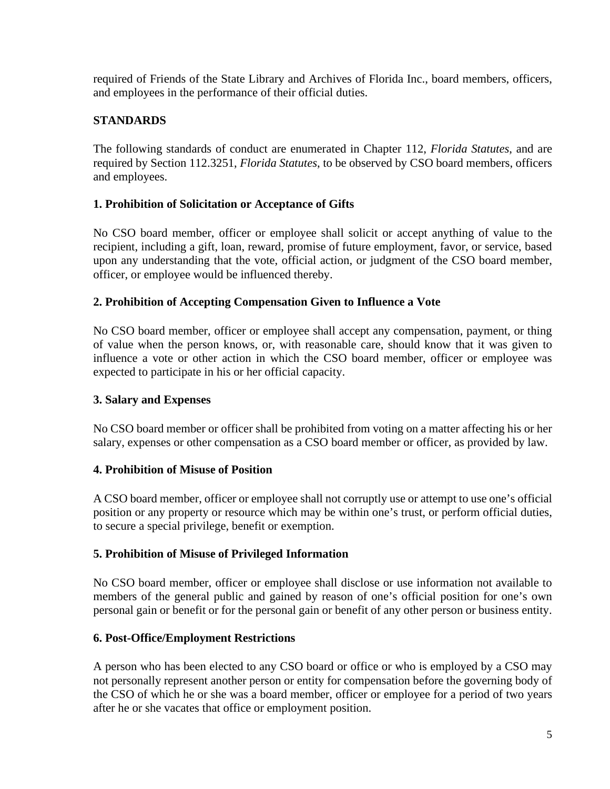required of Friends of the State Library and Archives of Florida Inc., board members, officers, and employees in the performance of their official duties.

## **STANDARDS**

The following standards of conduct are enumerated in Chapter 112, *Florida Statutes*, and are required by Section 112.3251, *Florida Statutes*, to be observed by CSO board members, officers and employees.

## **1. Prohibition of Solicitation or Acceptance of Gifts**

No CSO board member, officer or employee shall solicit or accept anything of value to the recipient, including a gift, loan, reward, promise of future employment, favor, or service, based upon any understanding that the vote, official action, or judgment of the CSO board member, officer, or employee would be influenced thereby.

## **2. Prohibition of Accepting Compensation Given to Influence a Vote**

No CSO board member, officer or employee shall accept any compensation, payment, or thing of value when the person knows, or, with reasonable care, should know that it was given to influence a vote or other action in which the CSO board member, officer or employee was expected to participate in his or her official capacity.

## **3. Salary and Expenses**

No CSO board member or officer shall be prohibited from voting on a matter affecting his or her salary, expenses or other compensation as a CSO board member or officer, as provided by law.

## **4. Prohibition of Misuse of Position**

A CSO board member, officer or employee shall not corruptly use or attempt to use one's official position or any property or resource which may be within one's trust, or perform official duties, to secure a special privilege, benefit or exemption.

## **5. Prohibition of Misuse of Privileged Information**

No CSO board member, officer or employee shall disclose or use information not available to members of the general public and gained by reason of one's official position for one's own personal gain or benefit or for the personal gain or benefit of any other person or business entity.

## **6. Post-Office/Employment Restrictions**

A person who has been elected to any CSO board or office or who is employed by a CSO may not personally represent another person or entity for compensation before the governing body of the CSO of which he or she was a board member, officer or employee for a period of two years after he or she vacates that office or employment position.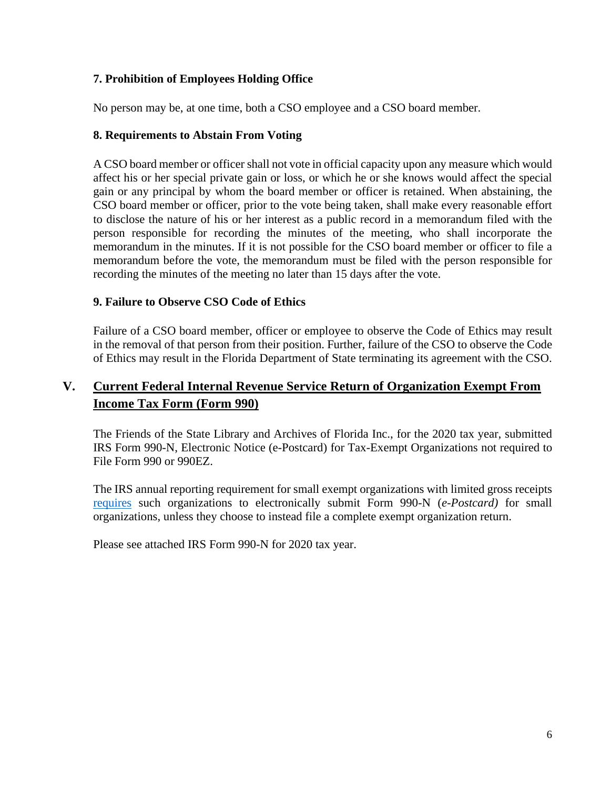## **7. Prohibition of Employees Holding Office**

No person may be, at one time, both a CSO employee and a CSO board member.

#### **8. Requirements to Abstain From Voting**

A CSO board member or officer shall not vote in official capacity upon any measure which would affect his or her special private gain or loss, or which he or she knows would affect the special gain or any principal by whom the board member or officer is retained. When abstaining, the CSO board member or officer, prior to the vote being taken, shall make every reasonable effort to disclose the nature of his or her interest as a public record in a memorandum filed with the person responsible for recording the minutes of the meeting, who shall incorporate the memorandum in the minutes. If it is not possible for the CSO board member or officer to file a memorandum before the vote, the memorandum must be filed with the person responsible for recording the minutes of the meeting no later than 15 days after the vote.

#### **9. Failure to Observe CSO Code of Ethics**

Failure of a CSO board member, officer or employee to observe the Code of Ethics may result in the removal of that person from their position. Further, failure of the CSO to observe the Code of Ethics may result in the Florida Department of State terminating its agreement with the CSO.

## **V. Current Federal Internal Revenue Service Return of Organization Exempt From Income Tax Form (Form 990)**

The Friends of the State Library and Archives of Florida Inc., for the 2020 tax year, submitted IRS Form 990-N, Electronic Notice (e-Postcard) for Tax-Exempt Organizations not required to File Form 990 or 990EZ.

The IRS annual reporting requirement for small exempt organizations with limited gross receipts [requires](https://www.irs.gov/charities-non-profits/annual-electronic-filing-requirement-for-small-exempt-organizations-form-990-n-e-postcard) such organizations to electronically submit Form 990-N (*e-Postcard)* for small organizations, unless they choose to instead file a complete exempt organization return.

Please see attached IRS Form 990-N for 2020 tax year.